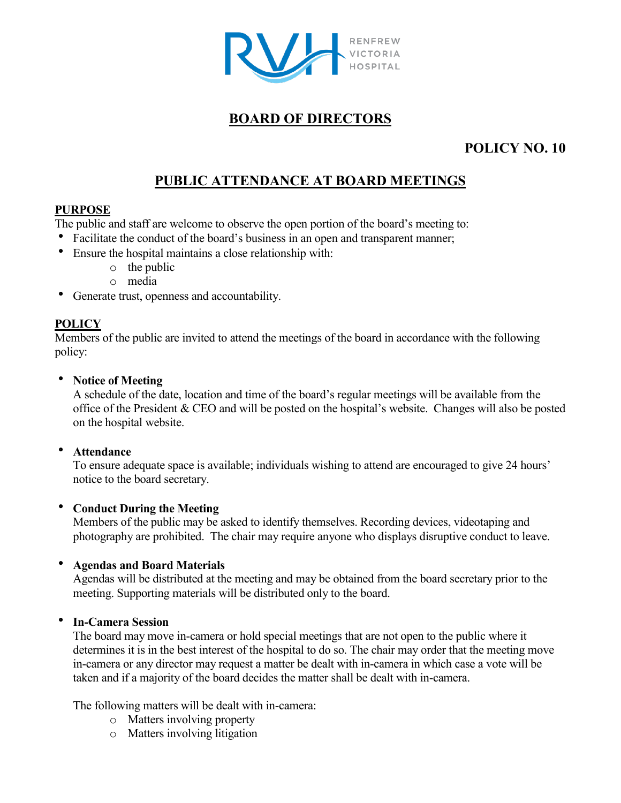

## **BOARD OF DIRECTORS**

## **POLICY NO. 10**

# **PUBLIC ATTENDANCE AT BOARD MEETINGS**

## **PURPOSE**

The public and staff are welcome to observe the open portion of the board's meeting to:

- Facilitate the conduct of the board's business in an open and transparent manner;
- Ensure the hospital maintains a close relationship with:
	- o the public
	- o media
- Generate trust, openness and accountability.

## **POLICY**

Members of the public are invited to attend the meetings of the board in accordance with the following policy:

#### **Notice of Meeting**

A schedule of the date, location and time of the board's regular meetings will be available from the office of the President & CEO and will be posted on the hospital's website. Changes will also be posted on the hospital website.

## **Attendance**

To ensure adequate space is available; individuals wishing to attend are encouraged to give 24 hours' notice to the board secretary.

## **Conduct During the Meeting**

Members of the public may be asked to identify themselves. Recording devices, videotaping and photography are prohibited. The chair may require anyone who displays disruptive conduct to leave.

## **Agendas and Board Materials**

Agendas will be distributed at the meeting and may be obtained from the board secretary prior to the meeting. Supporting materials will be distributed only to the board.

## **In-Camera Session**

The board may move in-camera or hold special meetings that are not open to the public where it determines it is in the best interest of the hospital to do so. The chair may order that the meeting move in-camera or any director may request a matter be dealt with in-camera in which case a vote will be taken and if a majority of the board decides the matter shall be dealt with in-camera.

The following matters will be dealt with in-camera:

- o Matters involving property
- o Matters involving litigation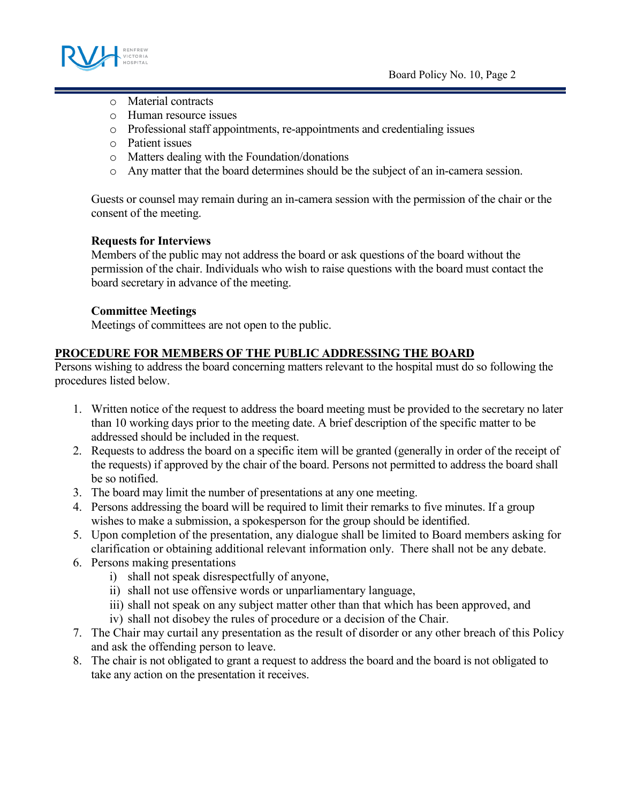

- o Material contracts
- o Human resource issues
- o Professional staff appointments, re-appointments and credentialing issues
- o Patient issues
- o Matters dealing with the Foundation/donations
- o Any matter that the board determines should be the subject of an in-camera session.

Guests or counsel may remain during an in-camera session with the permission of the chair or the consent of the meeting.

#### **Requests for Interviews**

Members of the public may not address the board or ask questions of the board without the permission of the chair. Individuals who wish to raise questions with the board must contact the board secretary in advance of the meeting.

#### **Committee Meetings**

Meetings of committees are not open to the public.

#### **PROCEDURE FOR MEMBERS OF THE PUBLIC ADDRESSING THE BOARD**

Persons wishing to address the board concerning matters relevant to the hospital must do so following the procedures listed below.

- 1. Written notice of the request to address the board meeting must be provided to the secretary no later than 10 working days prior to the meeting date. A brief description of the specific matter to be addressed should be included in the request.
- 2. Requests to address the board on a specific item will be granted (generally in order of the receipt of the requests) if approved by the chair of the board. Persons not permitted to address the board shall be so notified.
- 3. The board may limit the number of presentations at any one meeting.
- 4. Persons addressing the board will be required to limit their remarks to five minutes. If a group wishes to make a submission, a spokesperson for the group should be identified.
- 5. Upon completion of the presentation, any dialogue shall be limited to Board members asking for clarification or obtaining additional relevant information only. There shall not be any debate.
- 6. Persons making presentations
	- i) shall not speak disrespectfully of anyone,
	- ii) shall not use offensive words or unparliamentary language,
	- iii) shall not speak on any subject matter other than that which has been approved, and
	- iv) shall not disobey the rules of procedure or a decision of the Chair.
- 7. The Chair may curtail any presentation as the result of disorder or any other breach of this Policy and ask the offending person to leave.
- 8. The chair is not obligated to grant a request to address the board and the board is not obligated to take any action on the presentation it receives.